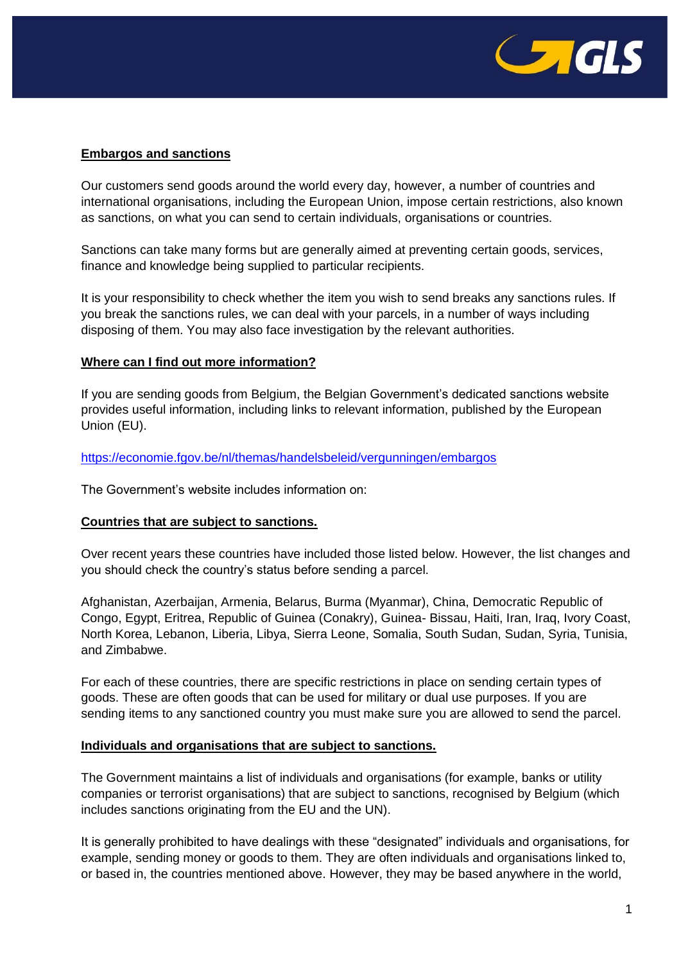

# **Embargos and sanctions**

Our customers send goods around the world every day, however, a number of countries and international organisations, including the European Union, impose certain restrictions, also known as sanctions, on what you can send to certain individuals, organisations or countries.

Sanctions can take many forms but are generally aimed at preventing certain goods, services, finance and knowledge being supplied to particular recipients.

It is your responsibility to check whether the item you wish to send breaks any sanctions rules. If you break the sanctions rules, we can deal with your parcels, in a number of ways including disposing of them. You may also face investigation by the relevant authorities.

# **Where can I find out more information?**

If you are sending goods from Belgium, the Belgian Government's dedicated sanctions website provides useful information, including links to relevant information, published by the European Union (EU).

# <https://economie.fgov.be/nl/themas/handelsbeleid/vergunningen/embargos>

The Government's website includes information on:

# **Countries that are subject to sanctions.**

Over recent years these countries have included those listed below. However, the list changes and you should check the country's status before sending a parcel.

Afghanistan, Azerbaijan, Armenia, Belarus, Burma (Myanmar), China, Democratic Republic of Congo, Egypt, Eritrea, Republic of Guinea (Conakry), Guinea- Bissau, Haiti, Iran, Iraq, Ivory Coast, North Korea, Lebanon, Liberia, Libya, Sierra Leone, Somalia, South Sudan, Sudan, Syria, Tunisia, and Zimbabwe.

For each of these countries, there are specific restrictions in place on sending certain types of goods. These are often goods that can be used for military or dual use purposes. If you are sending items to any sanctioned country you must make sure you are allowed to send the parcel.

# **Individuals and organisations that are subject to sanctions.**

The Government maintains a list of individuals and organisations (for example, banks or utility companies or terrorist organisations) that are subject to sanctions, recognised by Belgium (which includes sanctions originating from the EU and the UN).

It is generally prohibited to have dealings with these "designated" individuals and organisations, for example, sending money or goods to them. They are often individuals and organisations linked to, or based in, the countries mentioned above. However, they may be based anywhere in the world,